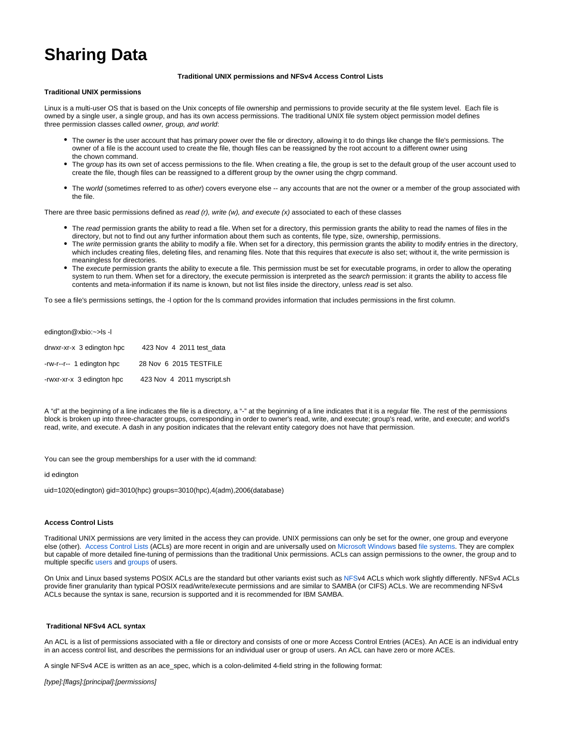# **Sharing Data**

## **Traditional UNIX permissions and NFSv4 Access Control Lists**

#### **Traditional UNIX permissions**

Linux is a multi-user OS that is based on the Unix concepts of file ownership and permissions to provide security at the file system level. Each file is owned by a single user, a single group, and has its own access permissions. The traditional UNIX file system object permission model defines three permission classes called owner, group, and world:

- The owner **i**s the user account that has primary power over the file or directory, allowing it to do things like change the file's permissions. The owner of a file is the account used to create the file, though files can be reassigned by the root account to a different owner using the chown command.
- The group has its own set of access permissions to the file. When creating a file, the group is set to the default group of the user account used to create the file, though files can be reassigned to a different group by the owner using the chgrp command.
- The world (sometimes referred to as other) covers everyone else -- any accounts that are not the owner or a member of the group associated with the file.

There are three basic permissions defined as read  $(r)$ , write  $(w)$ , and execute  $(x)$  associated to each of these classes

- The read permission grants the ability to read a file. When set for a directory, this permission grants the ability to read the names of files in the directory, but not to find out any further information about them such as contents, file type, size, ownership, permissions.
- The write permission grants the ability to modify a file. When set for a directory, this permission grants the ability to modify entries in the directory, which includes creating files, deleting files, and renaming files. Note that this requires that execute is also set; without it, the write permission is meaningless for directories.
- The execute permission grants the ability to execute a file. This permission must be set for executable programs, in order to allow the operating system to run them. When set for a directory, the execute permission is interpreted as the search permission: it grants the ability to access file contents and meta-information if its name is known, but not list files inside the directory, unless read is set also.

To see a file's permissions settings, the -l option for the ls command provides information that includes permissions in the first column.

| edington@xbio:~>ls-l |  |
|----------------------|--|
|----------------------|--|

| drwxr-xr-x 3 edington hpc | 423 Nov 4 2011 test data   |
|---------------------------|----------------------------|
| -rw-r--r-- 1 edington hpc | 28 Nov 6 2015 TESTFILE     |
| -rwxr-xr-x 3 edington hpc | 423 Nov 4 2011 myscript.sh |

A "d" at the beginning of a line indicates the file is a directory, a "-" at the beginning of a line indicates that it is a regular file. The rest of the permissions block is broken up into three-character groups, corresponding in order to owner's read, write, and execute; group's read, write, and execute; and world's read, write, and execute. A dash in any position indicates that the relevant entity category does not have that permission.

You can see the group memberships for a user with the id command:

id edington

uid=1020(edington) gid=3010(hpc) groups=3010(hpc),4(adm),2006(database)

#### **Access Control Lists**

Traditional UNIX permissions are very limited in the access they can provide. UNIX permissions can only be set for the owner, one group and everyone else (other). [Access Control Lists](https://en.wikipedia.org/wiki/Access-control_list) (ACLs) are more recent in origin and are universally used on [Microsoft Windows](https://en.wikipedia.org/wiki/Microsoft_Windows) based [file systems.](https://en.wikipedia.org/wiki/File_system) They are complex but capable of more detailed fine-tuning of permissions than the traditional Unix permissions. ACLs can assign permissions to the owner, the group and to multiple specific [users](https://en.wikipedia.org/wiki/User_(computing)) and [groups](https://en.wikipedia.org/wiki/Group_(computing)) of users.

On Unix and Linux based systems POSIX ACLs are the standard but other variants exist such as [NFSv](https://en.wikipedia.org/wiki/Network_File_System)4 ACLs which work slightly differently. NFSv4 ACLs provide finer granularity than typical POSIX read/write/execute permissions and are similar to SAMBA (or CIFS) ACLs. We are recommending NFSv4 ACLs because the syntax is sane, recursion is supported and it is recommended for IBM SAMBA.

## **Traditional NFSv4 ACL syntax**

An ACL is a list of permissions associated with a file or directory and consists of one or more Access Control Entries (ACEs). An ACE is an individual entry in an access control list, and describes the permissions for an individual user or group of users. An ACL can have zero or more ACEs.

A single NFSv4 ACE is written as an ace\_spec, which is a colon-delimited 4-field string in the following format:

[type]:[flags]:[principal]:[permissions]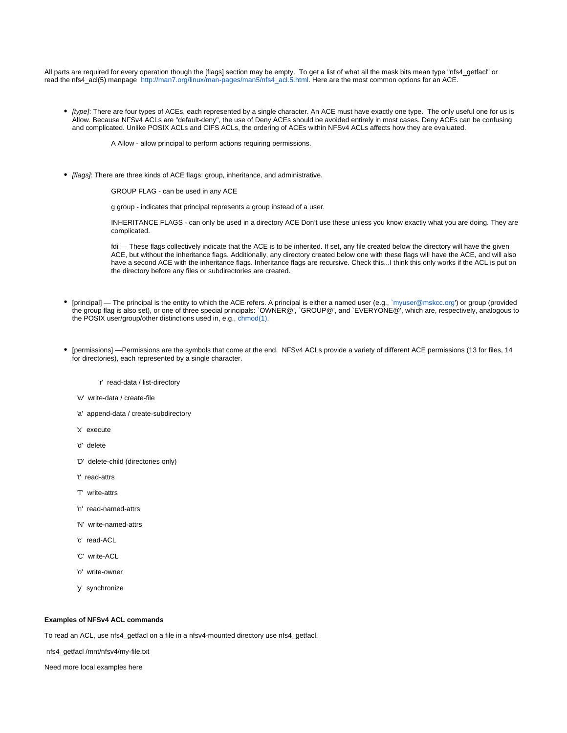All parts are required for every operation though the [flags] section may be empty. To get a list of what all the mask bits mean type "nfs4\_getfacl" or read the nfs4\_acl(5) manpage [http://man7.org/linux/man-pages/man5/nfs4\\_acl.5.html](http://man7.org/linux/man-pages/man5/nfs4_acl.5.html). Here are the most common options for an ACE.

• [type]: There are four types of ACEs, each represented by a single character. An ACE must have exactly one type. The only useful one for us is Allow. Because NFSv4 ACLs are "default-deny", the use of Deny ACEs should be avoided entirely in most cases. Deny ACEs can be confusing and complicated. Unlike POSIX ACLs and CIFS ACLs, the ordering of ACEs within NFSv4 ACLs affects how they are evaluated.

A Allow - allow principal to perform actions requiring permissions.

[flags]: There are three kinds of ACE flags: group, inheritance, and administrative.

GROUP FLAG - can be used in any ACE

g group - indicates that principal represents a group instead of a user.

INHERITANCE FLAGS - can only be used in a directory ACE Don't use these unless you know exactly what you are doing. They are complicated.

fdi — These flags collectively indicate that the ACE is to be inherited. If set, any file created below the directory will have the given ACE, but without the inheritance flags. Additionally, any directory created below one with these flags will have the ACE, and will also have a second ACE with the inheritance flags. Inheritance flags are recursive. Check this...I think this only works if the ACL is put on the directory before any files or subdirectories are created.

- [principal] The principal is the entity to which the ACE refers. A principal is either a named user (e.g., `myuser@mskcc.org') or group (provided the group flag is also set), or one of three special principals: `OWNER@', `GROUP@', and `EVERYONE@', which are, respectively, analogous to the POSIX user/group/other distinctions used in, e.g., [chmod\(1\).](http://man7.org/linux/man-pages/man1/chmod.1.html)
- [permissions] —Permissions are the symbols that come at the end. NFSv4 ACLs provide a variety of different ACE permissions (13 for files, 14 for directories), each represented by a single character.

'r' read-data / list-directory

- 'w' write-data / create-file
- 'a' append-data / create-subdirectory
- 'x' execute
- 'd' delete
- 'D' delete-child (directories only)
- 't' read-attrs
- 'T' write-attrs
- 'n' read-named-attrs
- 'N' write-named-attrs
- 'c' read-ACL
- 'C' write-ACL
- 'o' write-owner
- 'y' synchronize

## **Examples of NFSv4 ACL commands**

To read an ACL, use nfs4\_getfacl on a file in a nfsv4-mounted directory use nfs4\_getfacl.

nfs4\_getfacl /mnt/nfsv4/my-file.txt

Need more local examples here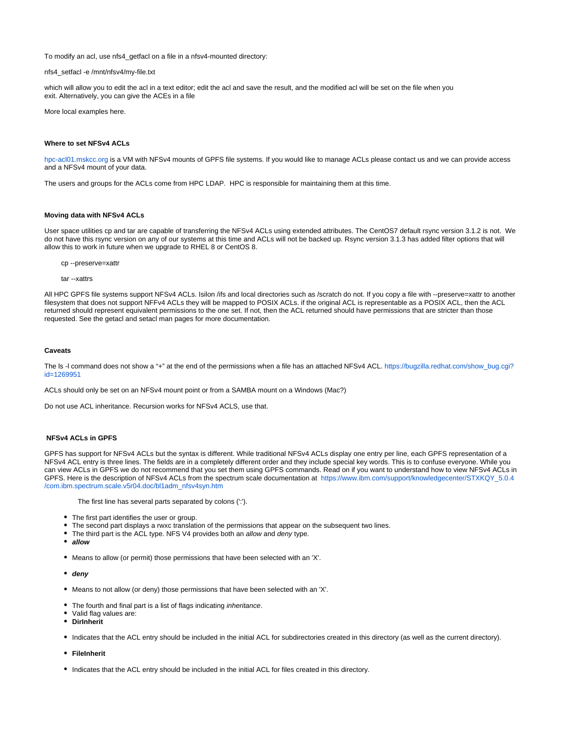To modify an acl, use nfs4\_getfacl on a file in a nfsv4-mounted directory:

nfs4\_setfacl -e /mnt/nfsv4/my-file.txt

which will allow you to edit the acl in a text editor; edit the acl and save the result, and the modified acl will be set on the file when you exit. Alternatively, you can give the ACEs in a file

More local examples here.

#### **Where to set NFSv4 ACLs**

[hpc-acl01.mskcc.org](http://hpc-acl01.mskcc.org) is a VM with NFSv4 mounts of GPFS file systems. If you would like to manage ACLs please contact us and we can provide access and a NFSv4 mount of your data.

The users and groups for the ACLs come from HPC LDAP. HPC is responsible for maintaining them at this time.

## **Moving data with NFSv4 ACLs**

User space utilities cp and tar are capable of transferring the NFSv4 ACLs using extended attributes. The CentOS7 default rsync version 3.1.2 is not. We do not have this rsync version on any of our systems at this time and ACLs will not be backed up. Rsync version 3.1.3 has added filter options that will allow this to work in future when we upgrade to RHEL 8 or CentOS 8.

cp --preserve=xattr

tar --xattrs

All HPC GPFS file systems support NFSv4 ACLs. Isilon /ifs and local directories such as /scratch do not. If you copy a file with --preserve=xattr to another filesystem that does not support NFFv4 ACLs they will be mapped to POSIX ACLs. if the original ACL is representable as a POSIX ACL, then the ACL returned should represent equivalent permissions to the one set. If not, then the ACL returned should have permissions that are stricter than those requested. See the getacl and setacl man pages for more documentation.

#### **Caveats**

The Is -I command does not show a "+" at the end of the permissions when a file has an attached NFSv4 ACL. [https://bugzilla.redhat.com/show\\_bug.cgi?](https://bugzilla.redhat.com/show_bug.cgi?id=1269951) [id=1269951](https://bugzilla.redhat.com/show_bug.cgi?id=1269951)

ACLs should only be set on an NFSv4 mount point or from a SAMBA mount on a Windows (Mac?)

Do not use ACL inheritance. Recursion works for NFSv4 ACLS, use that.

## **NFSv4 ACLs in GPFS**

GPFS has support for NFSv4 ACLs but the syntax is different. While traditional NFSv4 ACLs display one entry per line, each GPFS representation of a NFSv4 ACL entry is three lines. The fields are in a completely different order and they include special key words. This is to confuse everyone. While you can view ACLs in GPFS we do not recommend that you set them using GPFS commands. Read on if you want to understand how to view NFSv4 ACLs in GPFS. Here is the description of NFSv4 ACLs from the spectrum scale documentation at [https://www.ibm.com/support/knowledgecenter/STXKQY\\_5.0.4](https://www.ibm.com/support/knowledgecenter/STXKQY_5.0.4/com.ibm.spectrum.scale.v5r04.doc/bl1adm_nfsv4syn.htm) [/com.ibm.spectrum.scale.v5r04.doc/bl1adm\\_nfsv4syn.htm](https://www.ibm.com/support/knowledgecenter/STXKQY_5.0.4/com.ibm.spectrum.scale.v5r04.doc/bl1adm_nfsv4syn.htm)

The first line has several parts separated by colons (':').

- The first part identifies the user or group.
- The second part displays a rwxc translation of the permissions that appear on the subsequent two lines.
- The third part is the ACL type. NFS V4 provides both an allow and deny type.
- **allow**
- $\bullet$  Means to allow (or permit) those permissions that have been selected with an 'X'.
- **deny**
- Means to not allow (or deny) those permissions that have been selected with an 'X'.
- The fourth and final part is a list of flags indicating *inheritance*.
- Valid flag values are:
- **DirInherit**
- Indicates that the ACL entry should be included in the initial ACL for subdirectories created in this directory (as well as the current directory).
- **FileInherit**
- Indicates that the ACL entry should be included in the initial ACL for files created in this directory.